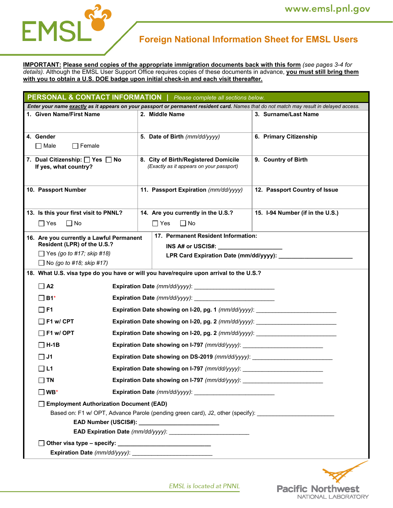

# **Foreign National Information Sheet for EMSL Users**

**IMPORTANT: Please send copies of the appropriate immigration documents back with this form** *(see pages 3-4 for details).* Although the EMSL User Support Office requires copies of these documents in advance, **you must still bring them with you to obtain a U.S. DOE badge upon initial check-in and each visit thereafter.** 

| <b>PERSONAL &amp; CONTACT INFORMATION</b>   Please complete all sections below.                                                          |                                                                                        |                                  |  |  |
|------------------------------------------------------------------------------------------------------------------------------------------|----------------------------------------------------------------------------------------|----------------------------------|--|--|
| Enter your name exactly as it appears on your passport or permanent resident card. Names that do not match may result in delayed access. |                                                                                        |                                  |  |  |
| 1. Given Name/First Name                                                                                                                 | 2. Middle Name                                                                         | 3. Surname/Last Name             |  |  |
| 4. Gender<br>$\Box$ Male<br>$\Box$ Female                                                                                                | 5. Date of Birth (mm/dd/yyyy)                                                          | 6. Primary Citizenship           |  |  |
| 7. Dual Citizenship: Yes No<br>If yes, what country?                                                                                     | 8. City of Birth/Registered Domicile<br>(Exactly as it appears on your passport)       | 9. Country of Birth              |  |  |
| 10. Passport Number                                                                                                                      | 11. Passport Expiration (mm/dd/yyyy)                                                   | 12. Passport Country of Issue    |  |  |
| 13. Is this your first visit to PNNL?<br>$\Box$ Yes<br>$\Box$ No                                                                         | 14. Are you currently in the U.S.?<br>$\Box$ No<br>$\Box$ Yes                          | 15. I-94 Number (if in the U.S.) |  |  |
| 16. Are you currently a Lawful Permanent<br>Resident (LPR) of the U.S.?                                                                  | 17. Permanent Resident Information:                                                    |                                  |  |  |
| $\Box$ Yes (go to #17; skip #18)<br>$\Box$ No (go to #18; skip #17)                                                                      | LPR Card Expiration Date (mm/dd/yyyy):                                                 |                                  |  |  |
|                                                                                                                                          | 18. What U.S. visa type do you have or will you have/require upon arrival to the U.S.? |                                  |  |  |
| $\Box$ A2                                                                                                                                |                                                                                        |                                  |  |  |
| $\square$ B1*                                                                                                                            |                                                                                        |                                  |  |  |
| $\Box$ F1                                                                                                                                | Expiration Date showing on I-20, pg. 1 (mm/dd/yyyy): ___________________________       |                                  |  |  |
| $\Box$ F1 w/ CPT                                                                                                                         | Expiration Date showing on I-20, pg. 2 (mm/dd/yyyy): ___________________________       |                                  |  |  |
| $\Box$ F1 w/ OPT                                                                                                                         | Expiration Date showing on I-20, pg. 2 (mm/dd/yyyy):                                   |                                  |  |  |
| $\Box$ H-1B                                                                                                                              |                                                                                        |                                  |  |  |
| $\Box$ J1                                                                                                                                | Expiration Date showing on DS-2019 (mm/dd/yyyy):                                       |                                  |  |  |
| $\Box$ L1                                                                                                                                | Expiration Date showing on I-797 (mm/dd/yyyy):                                         |                                  |  |  |
| $\square$ TN                                                                                                                             |                                                                                        |                                  |  |  |
| $\square$ WB*                                                                                                                            |                                                                                        |                                  |  |  |
| Employment Authorization Document (EAD)                                                                                                  |                                                                                        |                                  |  |  |
| Based on: F1 w/ OPT, Advance Parole (pending green card), J2, other (specify):                                                           |                                                                                        |                                  |  |  |
|                                                                                                                                          |                                                                                        |                                  |  |  |
|                                                                                                                                          |                                                                                        |                                  |  |  |
| Expiration Date (mm/dd/yyyy): ___________________________                                                                                |                                                                                        |                                  |  |  |
|                                                                                                                                          |                                                                                        |                                  |  |  |



**EMSL** is located at PNNL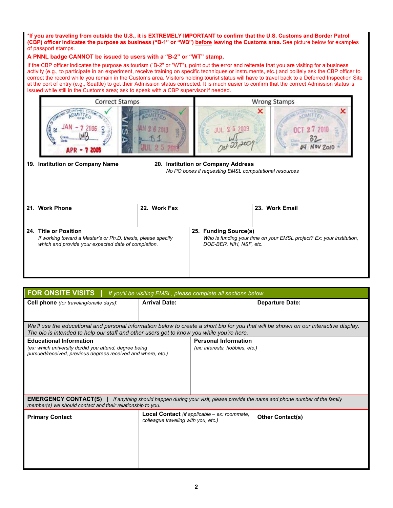\***If you are traveling from outside the U.S., it is EXTREMELY IMPORTANT to confirm that the U.S. Customs and Border Patrol (CBP) officer indicates the purpose as business ("B-1" or "WB") before leaving the Customs area.** See picture below for examples of passport stamps.

#### **A PNNL badge CANNOT be issued to users with a "B-2" or "WT" stamp.**

If the CBP officer indicates the purpose as tourism ("B-2" or "WT"), point out the error and reiterate that you are visiting for a business activity (e.g., to participate in an experiment, receive training on specific techniques or instruments, etc.) and politely ask the CBP officer to correct the record while you remain in the Customs area. Visitors holding tourist status will have to travel back to a Deferred Inspection Site at the port of entry (e.g., Seattle) to get their Admission status corrected. It is much easier to confirm that the correct Admission status is issued while still in the Customs area; ask to speak with a CBP supervisor if needed.



| 19. Institution or Company Name                                                                                                              |  |                                                  | 20. Institution or Company Address<br>No PO boxes if requesting EMSL computational resources |                |
|----------------------------------------------------------------------------------------------------------------------------------------------|--|--------------------------------------------------|----------------------------------------------------------------------------------------------|----------------|
| 21. Work Phone                                                                                                                               |  | 22. Work Fax                                     |                                                                                              | 23. Work Email |
| 24. Title or Position<br>If working toward a Master's or Ph.D. thesis, please specify<br>which and provide your expected date of completion. |  | 25. Funding Source(s)<br>DOE-BER, NIH, NSF, etc. | Who is funding your time on your EMSL project? Ex: your institution,                         |                |

| <b>FOR ONSITE VISITS</b>                                                                                                                                                                                                          |                                     | If you'll be visiting EMSL, please complete all sections below. |                         |  |  |
|-----------------------------------------------------------------------------------------------------------------------------------------------------------------------------------------------------------------------------------|-------------------------------------|-----------------------------------------------------------------|-------------------------|--|--|
| <b>Cell phone</b> (for traveling/onsite days):                                                                                                                                                                                    | <b>Arrival Date:</b>                |                                                                 | <b>Departure Date:</b>  |  |  |
|                                                                                                                                                                                                                                   |                                     |                                                                 |                         |  |  |
| We'll use the educational and personal information below to create a short bio for you that will be shown on our interactive display.<br>The bio is intended to help our staff and other users get to know you while you're here. |                                     |                                                                 |                         |  |  |
| <b>Educational Information</b><br>(ex: which university do/did you attend, degree being<br>pursued/received, previous degrees received and where, etc.)                                                                           |                                     | <b>Personal Information</b><br>(ex: interests, hobbies, etc.)   |                         |  |  |
| <b>EMERGENCY CONTACT(S)</b>   If anything should happen during your visit, please provide the name and phone number of the family<br>member(s) we should contact and their relationship to you.                                   |                                     |                                                                 |                         |  |  |
| <b>Primary Contact</b>                                                                                                                                                                                                            | colleague traveling with you, etc.) | Local Contact (if applicable – ex: roommate,                    | <b>Other Contact(s)</b> |  |  |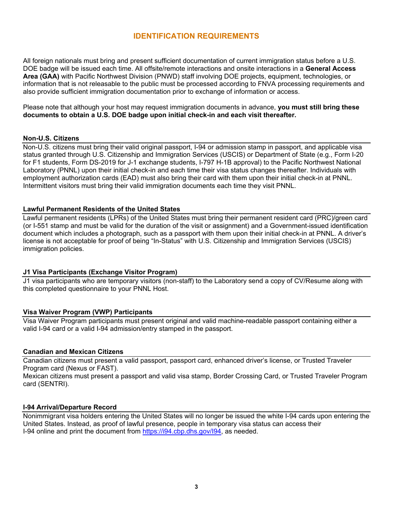### **IDENTIFICATION REQUIREMENTS**

All foreign nationals must bring and present sufficient documentation of current immigration status before a U.S. DOE badge will be issued each time. All offsite/remote interactions and onsite interactions in a **General Access Area (GAA)** with Pacific Northwest Division (PNWD) staff involving DOE projects, equipment, technologies, or information that is not releasable to the public must be processed according to FNVA processing requirements and also provide sufficient immigration documentation prior to exchange of information or access.

Please note that although your host may request immigration documents in advance, **you must still bring these documents to obtain a U.S. DOE badge upon initial check-in and each visit thereafter.**

#### **Non-U.S. Citizens**

Non-U.S. citizens must bring their valid original passport, I-94 or admission stamp in passport, and applicable visa status granted through U.S. Citizenship and Immigration Services (USCIS) or Department of State (e.g., Form I-20 for F1 students, Form DS-2019 for J-1 exchange students, I-797 H-1B approval) to the Pacific Northwest National Laboratory (PNNL) upon their initial check-in and each time their visa status changes thereafter. Individuals with employment authorization cards (EAD) must also bring their card with them upon their initial check-in at PNNL. Intermittent visitors must bring their valid immigration documents each time they visit PNNL.

#### **Lawful Permanent Residents of the United States**

Lawful permanent residents (LPRs) of the United States must bring their permanent resident card (PRC)/green card (or I-551 stamp and must be valid for the duration of the visit or assignment) and a Government-issued identification document which includes a photograph, such as a passport with them upon their initial check-in at PNNL. A driver's license is not acceptable for proof of being "In-Status" with U.S. Citizenship and Immigration Services (USCIS) immigration policies.

#### **J1 Visa Participants (Exchange Visitor Program)**

J1 visa participants who are temporary visitors (non-staff) to the Laboratory send a copy of CV/Resume along with this completed questionnaire to your PNNL Host.

#### **Visa Waiver Program (VWP) Participants**

Visa Waiver Program participants must present original and valid machine-readable passport containing either a valid I-94 card or a valid I-94 admission/entry stamped in the passport.

#### **Canadian and Mexican Citizens**

Canadian citizens must present a valid passport, passport card, enhanced driver's license, or Trusted Traveler Program card (Nexus or FAST).

Mexican citizens must present a passport and valid visa stamp, Border Crossing Card, or Trusted Traveler Program card (SENTRI).

#### **I-94 Arrival/Departure Record**

Nonimmigrant visa holders entering the United States will no longer be issued the white I-94 cards upon entering the United States. Instead, as proof of lawful presence, people in temporary visa status can access their I-94 online and print the document from https://i94.cbp.dhs.gov/I94, as needed.